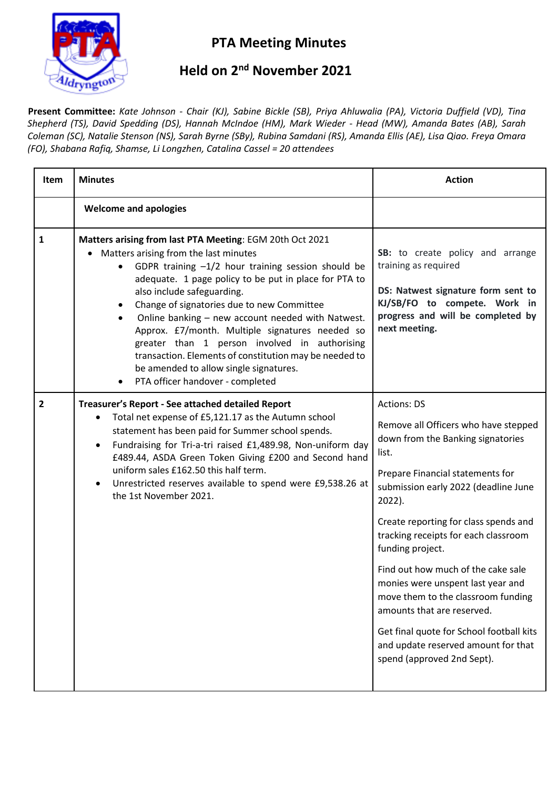

## **PTA Meeting Minutes**

## **Held on 2<sup>nd</sup> November 2021**

**Present Committee:** *Kate Johnson - Chair (KJ), Sabine Bickle (SB), Priya Ahluwalia (PA), Victoria Duffield (VD), Tina Shepherd (TS), David Spedding (DS), Hannah McIndoe (HM), Mark Wieder - Head (MW), Amanda Bates (AB), Sarah Coleman (SC), Natalie Stenson (NS), Sarah Byrne (SBy), Rubina Samdani (RS), Amanda Ellis (AE), Lisa Qiao. Freya Omara (FO), Shabana Rafiq, Shamse, Li Longzhen, Catalina Cassel = 20 attendees*

| <b>Item</b>    | <b>Minutes</b>                                                                                                                                                                                                                                                                                                                                                                                                                                                                                                                                                                                    | <b>Action</b>                                                                                                                                                                                                                                                                                                                                                                                                                                                                                                                                                       |
|----------------|---------------------------------------------------------------------------------------------------------------------------------------------------------------------------------------------------------------------------------------------------------------------------------------------------------------------------------------------------------------------------------------------------------------------------------------------------------------------------------------------------------------------------------------------------------------------------------------------------|---------------------------------------------------------------------------------------------------------------------------------------------------------------------------------------------------------------------------------------------------------------------------------------------------------------------------------------------------------------------------------------------------------------------------------------------------------------------------------------------------------------------------------------------------------------------|
|                | <b>Welcome and apologies</b>                                                                                                                                                                                                                                                                                                                                                                                                                                                                                                                                                                      |                                                                                                                                                                                                                                                                                                                                                                                                                                                                                                                                                                     |
| $\mathbf{1}$   | Matters arising from last PTA Meeting: EGM 20th Oct 2021<br>• Matters arising from the last minutes<br>GDPR training $-1/2$ hour training session should be<br>adequate. 1 page policy to be put in place for PTA to<br>also include safeguarding.<br>Change of signatories due to new Committee<br>Online banking - new account needed with Natwest.<br>Approx. £7/month. Multiple signatures needed so<br>greater than 1 person involved in authorising<br>transaction. Elements of constitution may be needed to<br>be amended to allow single signatures.<br>PTA officer handover - completed | SB: to create policy and arrange<br>training as required<br>DS: Natwest signature form sent to<br>KJ/SB/FO to compete. Work in<br>progress and will be completed by<br>next meeting.                                                                                                                                                                                                                                                                                                                                                                                |
| $\overline{2}$ | Treasurer's Report - See attached detailed Report<br>Total net expense of £5,121.17 as the Autumn school<br>$\bullet$<br>statement has been paid for Summer school spends.<br>Fundraising for Tri-a-tri raised £1,489.98, Non-uniform day<br>$\bullet$<br>£489.44, ASDA Green Token Giving £200 and Second hand<br>uniform sales £162.50 this half term.<br>Unrestricted reserves available to spend were £9,538.26 at<br>$\bullet$<br>the 1st November 2021.                                                                                                                                     | <b>Actions: DS</b><br>Remove all Officers who have stepped<br>down from the Banking signatories<br>list.<br>Prepare Financial statements for<br>submission early 2022 (deadline June<br>2022).<br>Create reporting for class spends and<br>tracking receipts for each classroom<br>funding project.<br>Find out how much of the cake sale<br>monies were unspent last year and<br>move them to the classroom funding<br>amounts that are reserved.<br>Get final quote for School football kits<br>and update reserved amount for that<br>spend (approved 2nd Sept). |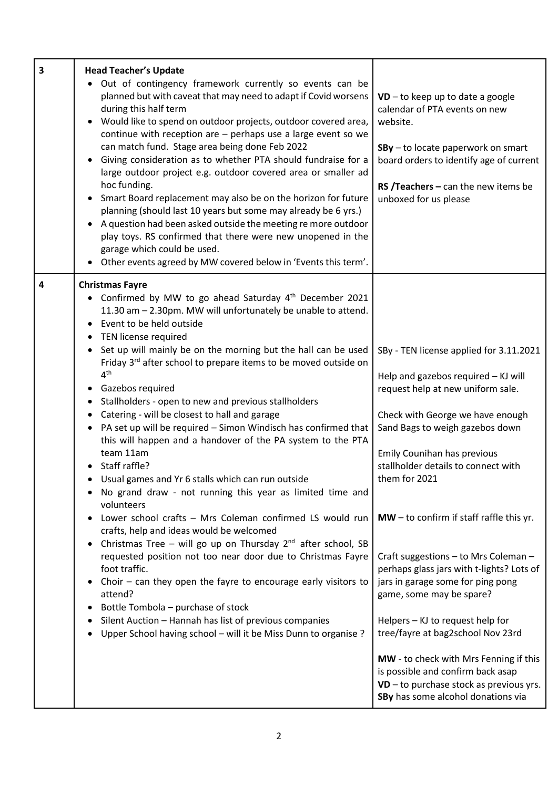| 3 | <b>Head Teacher's Update</b>                                                                                                                                                                                                                                                                                                                                                                                                                                                                                                                                                                                                                                                                                                                                                                                                                                                                                                                                                                                                                                                                                                               |                                                                                                                                                                                                                                                                                                                                                                                                                                                                                       |
|---|--------------------------------------------------------------------------------------------------------------------------------------------------------------------------------------------------------------------------------------------------------------------------------------------------------------------------------------------------------------------------------------------------------------------------------------------------------------------------------------------------------------------------------------------------------------------------------------------------------------------------------------------------------------------------------------------------------------------------------------------------------------------------------------------------------------------------------------------------------------------------------------------------------------------------------------------------------------------------------------------------------------------------------------------------------------------------------------------------------------------------------------------|---------------------------------------------------------------------------------------------------------------------------------------------------------------------------------------------------------------------------------------------------------------------------------------------------------------------------------------------------------------------------------------------------------------------------------------------------------------------------------------|
|   | • Out of contingency framework currently so events can be<br>planned but with caveat that may need to adapt if Covid worsens<br>during this half term<br>Would like to spend on outdoor projects, outdoor covered area,<br>continue with reception are $-$ perhaps use a large event so we<br>can match fund. Stage area being done Feb 2022<br>Giving consideration as to whether PTA should fundraise for a<br>large outdoor project e.g. outdoor covered area or smaller ad<br>hoc funding.<br>Smart Board replacement may also be on the horizon for future<br>planning (should last 10 years but some may already be 6 yrs.)<br>A question had been asked outside the meeting re more outdoor<br>play toys. RS confirmed that there were new unopened in the<br>garage which could be used.<br>Other events agreed by MW covered below in 'Events this term'.                                                                                                                                                                                                                                                                         | $VD$ – to keep up to date a google<br>calendar of PTA events on new<br>website.<br>SBy - to locate paperwork on smart<br>board orders to identify age of current<br>RS /Teachers $-$ can the new items be<br>unboxed for us please                                                                                                                                                                                                                                                    |
| 4 | <b>Christmas Fayre</b><br>• Confirmed by MW to go ahead Saturday 4th December 2021<br>11.30 am - 2.30pm. MW will unfortunately be unable to attend.<br>Event to be held outside<br>TEN license required<br>Set up will mainly be on the morning but the hall can be used<br>Friday 3rd after school to prepare items to be moved outside on<br>4 <sup>th</sup><br>• Gazebos required<br>Stallholders - open to new and previous stallholders<br>Catering - will be closest to hall and garage<br>• PA set up will be required - Simon Windisch has confirmed that<br>this will happen and a handover of the PA system to the PTA<br>team 11am<br>Staff raffle?<br>Usual games and Yr 6 stalls which can run outside<br>No grand draw - not running this year as limited time and<br>volunteers<br>Lower school crafts - Mrs Coleman confirmed LS would run<br>crafts, help and ideas would be welcomed<br>Christmas Tree – will go up on Thursday $2^{nd}$ after school, SB<br>requested position not too near door due to Christmas Fayre<br>foot traffic.<br>Choir $-$ can they open the fayre to encourage early visitors to<br>attend? | SBy - TEN license applied for 3.11.2021<br>Help and gazebos required - KJ will<br>request help at new uniform sale.<br>Check with George we have enough<br>Sand Bags to weigh gazebos down<br>Emily Counihan has previous<br>stallholder details to connect with<br>them for 2021<br>$MW - to confirm if staff raffle this yr.$<br>Craft suggestions - to Mrs Coleman -<br>perhaps glass jars with t-lights? Lots of<br>jars in garage some for ping pong<br>game, some may be spare? |
|   | Bottle Tombola – purchase of stock<br>Silent Auction - Hannah has list of previous companies<br>Upper School having school - will it be Miss Dunn to organise ?                                                                                                                                                                                                                                                                                                                                                                                                                                                                                                                                                                                                                                                                                                                                                                                                                                                                                                                                                                            | Helpers - KJ to request help for<br>tree/fayre at bag2school Nov 23rd<br>MW - to check with Mrs Fenning if this<br>is possible and confirm back asap<br>$VD$ – to purchase stock as previous yrs.<br>SBy has some alcohol donations via                                                                                                                                                                                                                                               |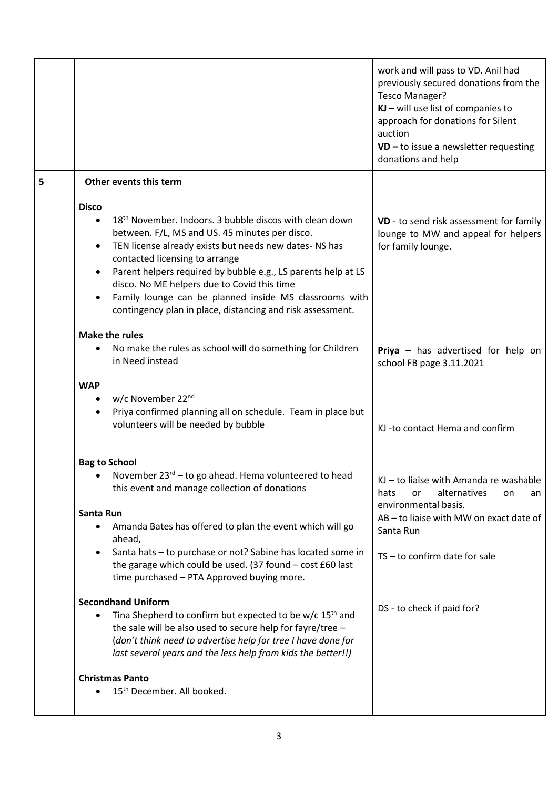|   |                                                                                                                                                                                                                                                                                                                                                                                                                                                                           | work and will pass to VD. Anil had<br>previously secured donations from the<br>Tesco Manager?<br>$KJ$ – will use list of companies to<br>approach for donations for Silent<br>auction<br>$VD$ – to issue a newsletter requesting<br>donations and help |
|---|---------------------------------------------------------------------------------------------------------------------------------------------------------------------------------------------------------------------------------------------------------------------------------------------------------------------------------------------------------------------------------------------------------------------------------------------------------------------------|--------------------------------------------------------------------------------------------------------------------------------------------------------------------------------------------------------------------------------------------------------|
| 5 | Other events this term                                                                                                                                                                                                                                                                                                                                                                                                                                                    |                                                                                                                                                                                                                                                        |
|   | <b>Disco</b><br>18 <sup>th</sup> November. Indoors. 3 bubble discos with clean down<br>between. F/L, MS and US. 45 minutes per disco.<br>TEN license already exists but needs new dates- NS has<br>contacted licensing to arrange<br>Parent helpers required by bubble e.g., LS parents help at LS<br>disco. No ME helpers due to Covid this time<br>Family lounge can be planned inside MS classrooms with<br>contingency plan in place, distancing and risk assessment. | VD - to send risk assessment for family<br>lounge to MW and appeal for helpers<br>for family lounge.                                                                                                                                                   |
|   | <b>Make the rules</b><br>No make the rules as school will do something for Children<br>in Need instead                                                                                                                                                                                                                                                                                                                                                                    | Priya - has advertised for help on<br>school FB page 3.11.2021                                                                                                                                                                                         |
|   | <b>WAP</b><br>w/c November 22 <sup>nd</sup><br>Priya confirmed planning all on schedule. Team in place but<br>volunteers will be needed by bubble                                                                                                                                                                                                                                                                                                                         | KJ-to contact Hema and confirm                                                                                                                                                                                                                         |
|   | <b>Bag to School</b><br>November 23 <sup>rd</sup> – to go ahead. Hema volunteered to head<br>this event and manage collection of donations                                                                                                                                                                                                                                                                                                                                | KJ - to liaise with Amanda re washable<br>hats<br>alternatives<br>or<br>on<br>an<br>environmental basis.                                                                                                                                               |
|   | Santa Run<br>Amanda Bates has offered to plan the event which will go<br>ahead,<br>Santa hats - to purchase or not? Sabine has located some in<br>the garage which could be used. (37 found - cost £60 last<br>time purchased - PTA Approved buying more.                                                                                                                                                                                                                 | AB-to liaise with MW on exact date of<br>Santa Run<br>TS-to confirm date for sale                                                                                                                                                                      |
|   | <b>Secondhand Uniform</b><br>Tina Shepherd to confirm but expected to be w/c 15 <sup>th</sup> and<br>the sale will be also used to secure help for fayre/tree -<br>(don't think need to advertise help for tree I have done for<br>last several years and the less help from kids the better!!)                                                                                                                                                                           | DS - to check if paid for?                                                                                                                                                                                                                             |
|   | <b>Christmas Panto</b><br>15 <sup>th</sup> December. All booked.                                                                                                                                                                                                                                                                                                                                                                                                          |                                                                                                                                                                                                                                                        |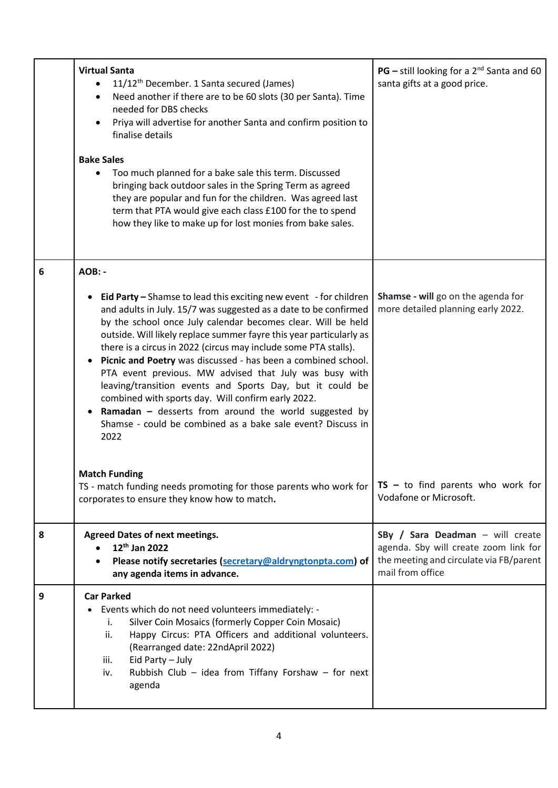|   | <b>Virtual Santa</b><br>11/12 <sup>th</sup> December. 1 Santa secured (James)<br>Need another if there are to be 60 slots (30 per Santa). Time<br>$\bullet$<br>needed for DBS checks<br>Priya will advertise for another Santa and confirm position to<br>finalise details<br><b>Bake Sales</b>                                                                                                                                                                                                                                                                                                                                                                                                                                          | <b>PG</b> – still looking for a $2^{nd}$ Santa and 60<br>santa gifts at a good price.                                                    |
|---|------------------------------------------------------------------------------------------------------------------------------------------------------------------------------------------------------------------------------------------------------------------------------------------------------------------------------------------------------------------------------------------------------------------------------------------------------------------------------------------------------------------------------------------------------------------------------------------------------------------------------------------------------------------------------------------------------------------------------------------|------------------------------------------------------------------------------------------------------------------------------------------|
|   | Too much planned for a bake sale this term. Discussed<br>bringing back outdoor sales in the Spring Term as agreed<br>they are popular and fun for the children. Was agreed last<br>term that PTA would give each class £100 for the to spend<br>how they like to make up for lost monies from bake sales.                                                                                                                                                                                                                                                                                                                                                                                                                                |                                                                                                                                          |
| 6 | AOB: -                                                                                                                                                                                                                                                                                                                                                                                                                                                                                                                                                                                                                                                                                                                                   |                                                                                                                                          |
|   | <b>Eid Party</b> – Shamse to lead this exciting new event $-$ for children<br>and adults in July. 15/7 was suggested as a date to be confirmed<br>by the school once July calendar becomes clear. Will be held<br>outside. Will likely replace summer fayre this year particularly as<br>there is a circus in 2022 (circus may include some PTA stalls).<br>Picnic and Poetry was discussed - has been a combined school.<br>PTA event previous. MW advised that July was busy with<br>leaving/transition events and Sports Day, but it could be<br>combined with sports day. Will confirm early 2022.<br>Ramadan $-$ desserts from around the world suggested by<br>Shamse - could be combined as a bake sale event? Discuss in<br>2022 | Shamse - will go on the agenda for<br>more detailed planning early 2022.                                                                 |
|   | <b>Match Funding</b><br>TS - match funding needs promoting for those parents who work for<br>corporates to ensure they know how to match.                                                                                                                                                                                                                                                                                                                                                                                                                                                                                                                                                                                                | $TS - to find parents who work for$<br>Vodafone or Microsoft.                                                                            |
| 8 | <b>Agreed Dates of next meetings.</b><br>12 <sup>th</sup> Jan 2022<br>Please notify secretaries (secretary@aldryngtonpta.com) of<br>any agenda items in advance.                                                                                                                                                                                                                                                                                                                                                                                                                                                                                                                                                                         | SBy / Sara Deadman - will create<br>agenda. Sby will create zoom link for<br>the meeting and circulate via FB/parent<br>mail from office |
| 9 | <b>Car Parked</b><br>Events which do not need volunteers immediately: -<br>Silver Coin Mosaics (formerly Copper Coin Mosaic)<br>i.<br>Happy Circus: PTA Officers and additional volunteers.<br>ii.<br>(Rearranged date: 22ndApril 2022)<br>Eid Party - July<br>iii.<br>Rubbish Club - idea from Tiffany Forshaw - for next<br>iv.<br>agenda                                                                                                                                                                                                                                                                                                                                                                                              |                                                                                                                                          |